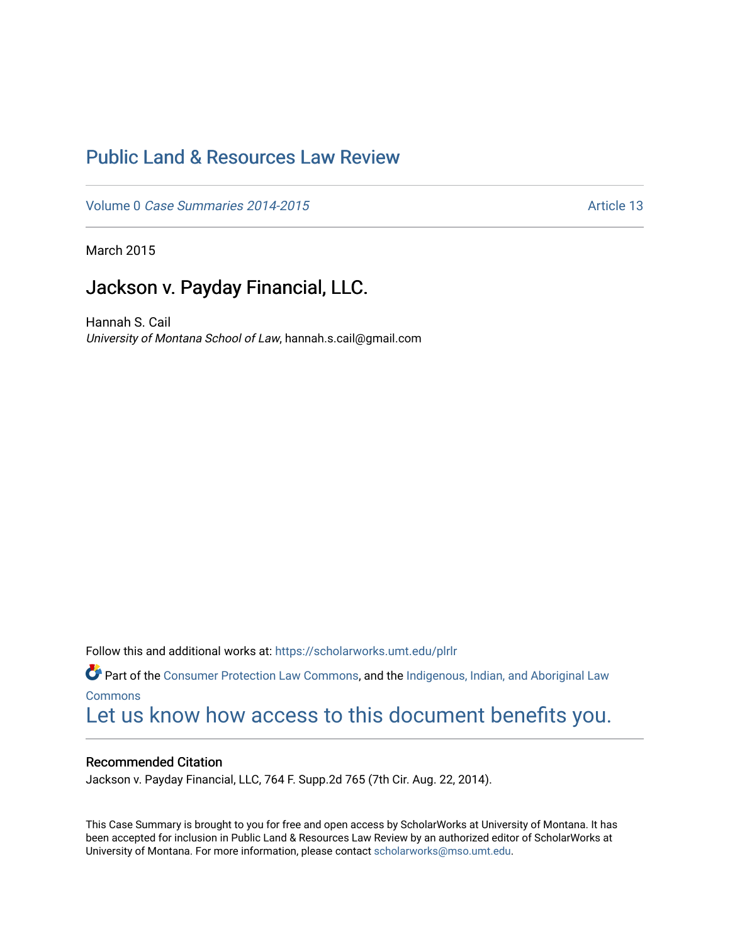# [Public Land & Resources Law Review](https://scholarworks.umt.edu/plrlr)

Volume 0 [Case Summaries 2014-2015](https://scholarworks.umt.edu/plrlr/vol0)

March 2015

# Jackson v. Payday Financial, LLC.

Hannah S. Cail University of Montana School of Law, hannah.s.cail@gmail.com

Follow this and additional works at: [https://scholarworks.umt.edu/plrlr](https://scholarworks.umt.edu/plrlr?utm_source=scholarworks.umt.edu%2Fplrlr%2Fvol0%2Fiss5%2F13&utm_medium=PDF&utm_campaign=PDFCoverPages) 

Part of the [Consumer Protection Law Commons,](http://network.bepress.com/hgg/discipline/838?utm_source=scholarworks.umt.edu%2Fplrlr%2Fvol0%2Fiss5%2F13&utm_medium=PDF&utm_campaign=PDFCoverPages) and the [Indigenous, Indian, and Aboriginal Law](http://network.bepress.com/hgg/discipline/894?utm_source=scholarworks.umt.edu%2Fplrlr%2Fvol0%2Fiss5%2F13&utm_medium=PDF&utm_campaign=PDFCoverPages) **[Commons](http://network.bepress.com/hgg/discipline/894?utm_source=scholarworks.umt.edu%2Fplrlr%2Fvol0%2Fiss5%2F13&utm_medium=PDF&utm_campaign=PDFCoverPages)** [Let us know how access to this document benefits you.](https://goo.gl/forms/s2rGfXOLzz71qgsB2) 

## Recommended Citation

Jackson v. Payday Financial, LLC, 764 F. Supp.2d 765 (7th Cir. Aug. 22, 2014).

This Case Summary is brought to you for free and open access by ScholarWorks at University of Montana. It has been accepted for inclusion in Public Land & Resources Law Review by an authorized editor of ScholarWorks at University of Montana. For more information, please contact [scholarworks@mso.umt.edu.](mailto:scholarworks@mso.umt.edu)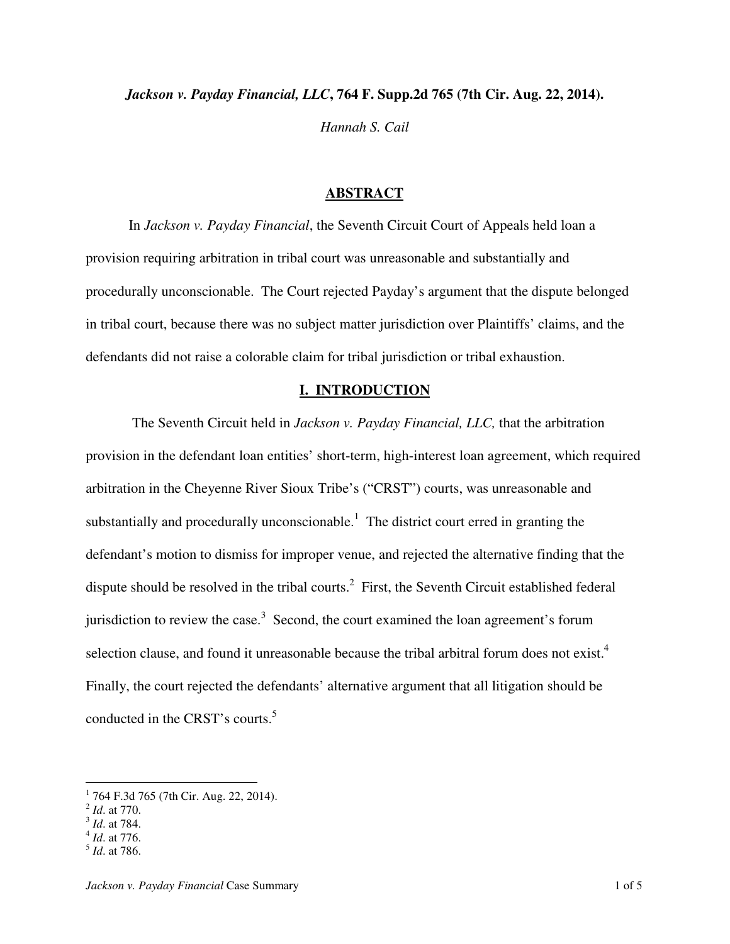*Jackson v. Payday Financial, LLC***, 764 F. Supp.2d 765 (7th Cir. Aug. 22, 2014).**  *Hannah S. Cail*

### **ABSTRACT**

 In *Jackson v. Payday Financial*, the Seventh Circuit Court of Appeals held loan a provision requiring arbitration in tribal court was unreasonable and substantially and procedurally unconscionable. The Court rejected Payday's argument that the dispute belonged in tribal court, because there was no subject matter jurisdiction over Plaintiffs' claims, and the defendants did not raise a colorable claim for tribal jurisdiction or tribal exhaustion.

#### **I. INTRODUCTION**

 The Seventh Circuit held in *Jackson v. Payday Financial, LLC,* that the arbitration provision in the defendant loan entities' short-term, high-interest loan agreement, which required arbitration in the Cheyenne River Sioux Tribe's ("CRST") courts, was unreasonable and substantially and procedurally unconscionable.<sup>1</sup> The district court erred in granting the defendant's motion to dismiss for improper venue, and rejected the alternative finding that the dispute should be resolved in the tribal courts.<sup>2</sup> First, the Seventh Circuit established federal jurisdiction to review the case.<sup>3</sup> Second, the court examined the loan agreement's forum selection clause, and found it unreasonable because the tribal arbitral forum does not exist.<sup>4</sup> Finally, the court rejected the defendants' alternative argument that all litigation should be conducted in the CRST's courts.<sup>5</sup>

 1 764 F.3d 765 (7th Cir. Aug. 22, 2014).

<sup>2</sup> *Id*. at 770.

<sup>3</sup> *Id*. at 784.

<sup>4</sup> *Id*. at 776.

<sup>5</sup> *Id*. at 786.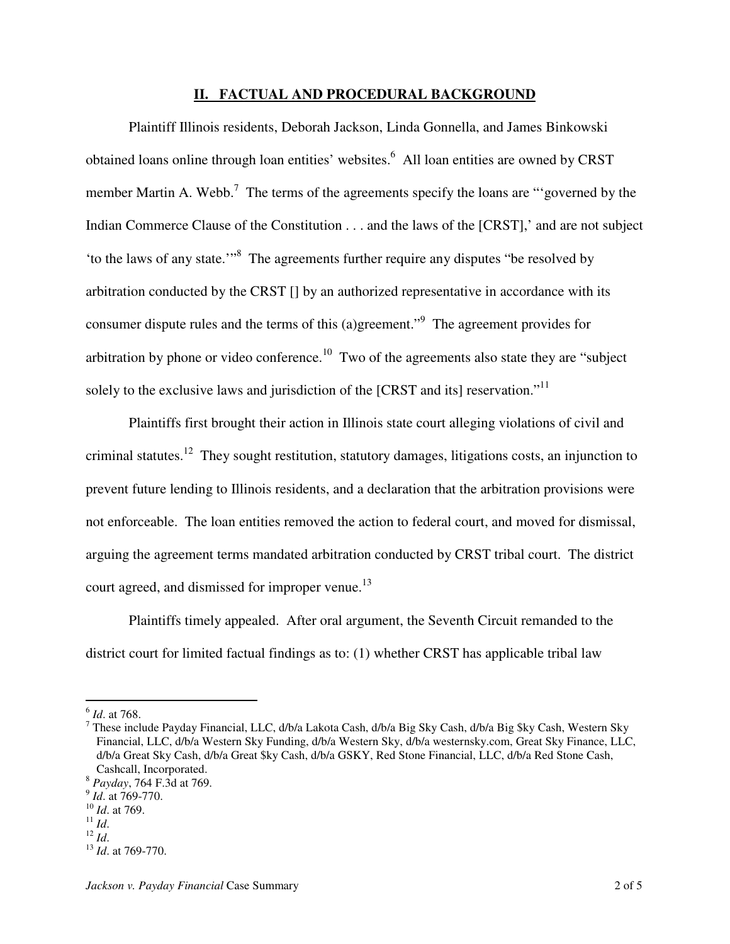## **II. FACTUAL AND PROCEDURAL BACKGROUND**

 Plaintiff Illinois residents, Deborah Jackson, Linda Gonnella, and James Binkowski obtained loans online through loan entities' websites.<sup>6</sup> All loan entities are owned by CRST member Martin A. Webb.<sup>7</sup> The terms of the agreements specify the loans are "governed by the Indian Commerce Clause of the Constitution . . . and the laws of the [CRST],' and are not subject 'to the laws of any state."<sup>8</sup> The agreements further require any disputes "be resolved by arbitration conducted by the CRST [] by an authorized representative in accordance with its consumer dispute rules and the terms of this (a)greement."<sup>9</sup> The agreement provides for arbitration by phone or video conference.<sup>10</sup> Two of the agreements also state they are "subject" solely to the exclusive laws and jurisdiction of the [CRST and its] reservation."<sup>11</sup>

 Plaintiffs first brought their action in Illinois state court alleging violations of civil and criminal statutes.<sup>12</sup> They sought restitution, statutory damages, litigations costs, an injunction to prevent future lending to Illinois residents, and a declaration that the arbitration provisions were not enforceable. The loan entities removed the action to federal court, and moved for dismissal, arguing the agreement terms mandated arbitration conducted by CRST tribal court. The district court agreed, and dismissed for improper venue.<sup>13</sup>

 Plaintiffs timely appealed. After oral argument, the Seventh Circuit remanded to the district court for limited factual findings as to: (1) whether CRST has applicable tribal law

 $\overline{a}$ 

<sup>6</sup> *Id*. at 768.

<sup>&</sup>lt;sup>7</sup> These include Payday Financial, LLC, d/b/a Lakota Cash, d/b/a Big Sky Cash, d/b/a Big \$ky Cash, Western Sky Financial, LLC, d/b/a Western Sky Funding, d/b/a Western Sky, d/b/a westernsky.com, Great Sky Finance, LLC, d/b/a Great Sky Cash, d/b/a Great \$ky Cash, d/b/a GSKY, Red Stone Financial, LLC, d/b/a Red Stone Cash, Cashcall, Incorporated.

<sup>8</sup> *Payday*, 764 F.3d at 769.

<sup>9</sup> *Id*. at 769-770.

<sup>10</sup> *Id*. at 769.

<sup>11</sup> *Id*.

 $^{12}$  *Id.* 

<sup>13</sup> *Id*. at 769-770.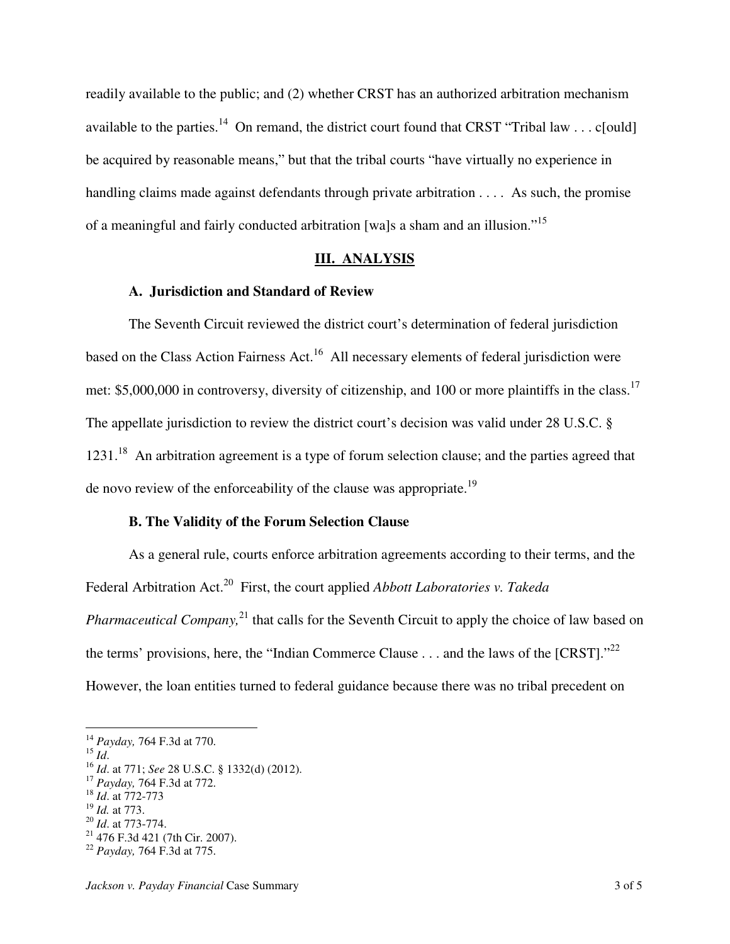readily available to the public; and (2) whether CRST has an authorized arbitration mechanism available to the parties.<sup>14</sup> On remand, the district court found that CRST "Tribal law . . . c[ould] be acquired by reasonable means," but that the tribal courts "have virtually no experience in handling claims made against defendants through private arbitration . . . . As such, the promise of a meaningful and fairly conducted arbitration [wa]s a sham and an illusion."<sup>15</sup>

# **III. ANALYSIS**

## **A. Jurisdiction and Standard of Review**

 The Seventh Circuit reviewed the district court's determination of federal jurisdiction based on the Class Action Fairness Act.<sup>16</sup> All necessary elements of federal jurisdiction were met: \$5,000,000 in controversy, diversity of citizenship, and 100 or more plaintiffs in the class.<sup>17</sup> The appellate jurisdiction to review the district court's decision was valid under 28 U.S.C. § 1231.<sup>18</sup> An arbitration agreement is a type of forum selection clause; and the parties agreed that de novo review of the enforceability of the clause was appropriate.<sup>19</sup>

# **B. The Validity of the Forum Selection Clause**

 As a general rule, courts enforce arbitration agreements according to their terms, and the Federal Arbitration Act.<sup>20</sup> First, the court applied *Abbott Laboratories v. Takeda Pharmaceutical Company*,<sup>21</sup> that calls for the Seventh Circuit to apply the choice of law based on the terms' provisions, here, the "Indian Commerce Clause . . . and the laws of the [CRST]."<sup>22</sup> However, the loan entities turned to federal guidance because there was no tribal precedent on

<sup>15</sup> *Id*.

 $\overline{a}$ 

<sup>14</sup> *Payday,* 764 F.3d at 770.

<sup>16</sup> *Id*. at 771; *See* 28 U.S.C. § 1332(d) (2012).

<sup>17</sup> *Payday,* 764 F.3d at 772.

<sup>18</sup> *Id*. at 772-773

<sup>19</sup> *Id.* at 773.

<sup>20</sup> *Id*. at 773-774.

 $21$  476 F.3d 421 (7th Cir. 2007).

<sup>22</sup> *Payday,* 764 F.3d at 775.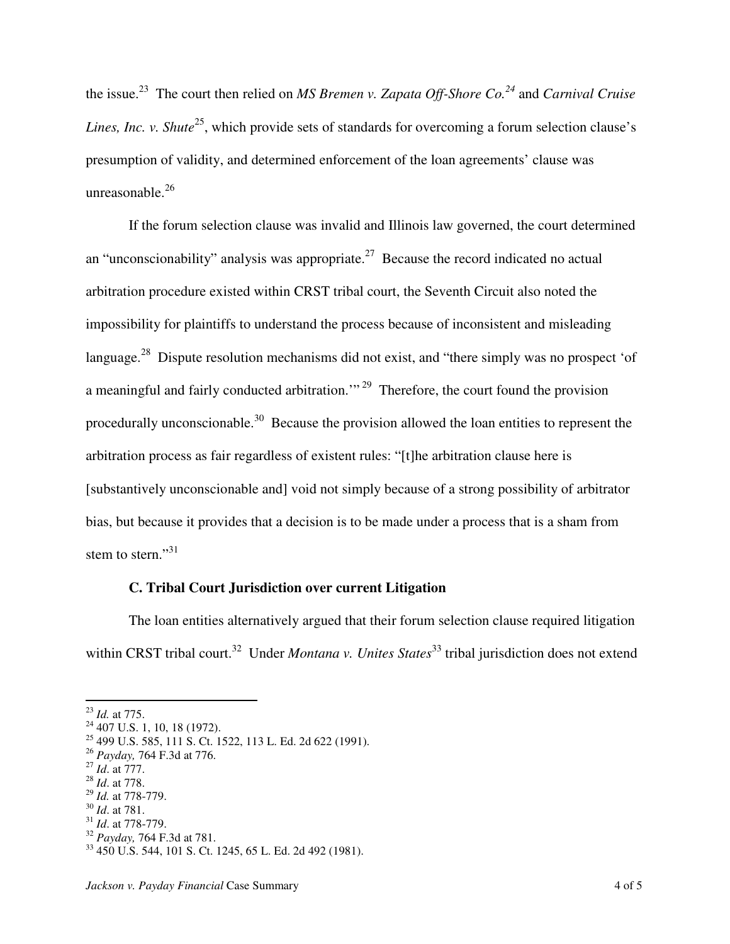the issue.<sup>23</sup> The court then relied on *MS Bremen v. Zapata Off-Shore Co.<sup>24</sup>* and *Carnival Cruise Lines, Inc. v. Shute*<sup>25</sup>, which provide sets of standards for overcoming a forum selection clause's presumption of validity, and determined enforcement of the loan agreements' clause was unreasonable.<sup>26</sup>

 If the forum selection clause was invalid and Illinois law governed, the court determined an "unconscionability" analysis was appropriate.<sup>27</sup> Because the record indicated no actual arbitration procedure existed within CRST tribal court, the Seventh Circuit also noted the impossibility for plaintiffs to understand the process because of inconsistent and misleading language.<sup>28</sup> Dispute resolution mechanisms did not exist, and "there simply was no prospect 'of a meaningful and fairly conducted arbitration."<sup>29</sup> Therefore, the court found the provision procedurally unconscionable.<sup>30</sup> Because the provision allowed the loan entities to represent the arbitration process as fair regardless of existent rules: "[t]he arbitration clause here is [substantively unconscionable and] void not simply because of a strong possibility of arbitrator bias, but because it provides that a decision is to be made under a process that is a sham from stem to stern." $31$ 

# **C. Tribal Court Jurisdiction over current Litigation**

 The loan entities alternatively argued that their forum selection clause required litigation within CRST tribal court.<sup>32</sup> Under *Montana v. Unites States*<sup>33</sup> tribal jurisdiction does not extend

-

- <sup>27</sup> *Id*. at 777.
- <sup>28</sup> *Id*. at 778.
- <sup>29</sup> *Id.* at 778-779.

<sup>23</sup> *Id.* at 775.

<sup>&</sup>lt;sup>24</sup> 407 U.S. 1, 10, 18 (1972).

<sup>25</sup> 499 U.S. 585, 111 S. Ct. 1522, 113 L. Ed. 2d 622 (1991).

<sup>26</sup> *Payday,* 764 F.3d at 776.

<sup>30</sup> *Id*. at 781.

<sup>31</sup> *Id*. at 778-779.

<sup>32</sup> *Payday,* 764 F.3d at 781.

<sup>33</sup> 450 U.S. 544, 101 S. Ct. 1245, 65 L. Ed. 2d 492 (1981).